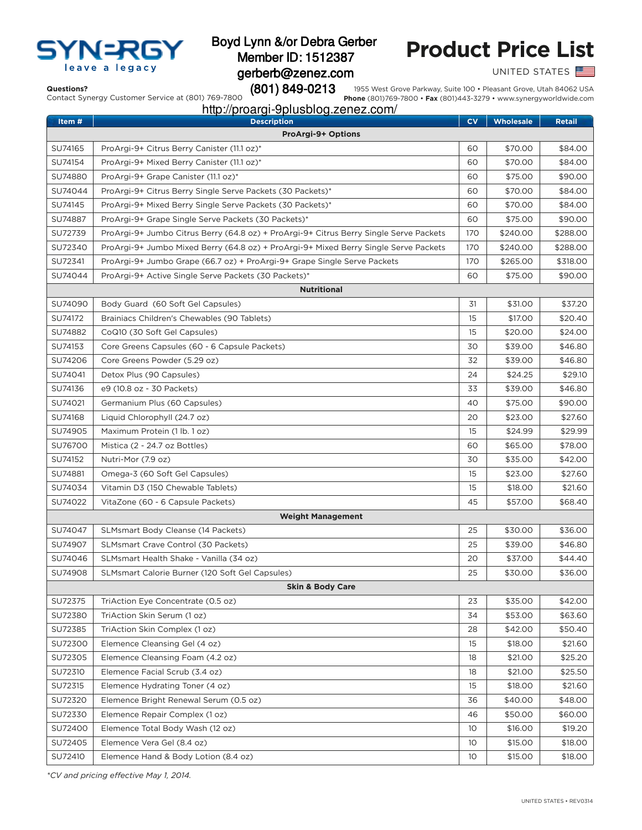

## Boyd Lynn &/or Debra Gerber Member ID: 1512387 gerberb@zenez.com (801) 849-0213

# **Product Price List**

UNITED STATES

#### **Questions?**

Contact Synergy Customer Service at (801) 769-7800

1955 West Grove Parkway, Suite 100 • Pleasant Grove, Utah 84062 USA **Phone** (801)769-7800 • **Fax** (801)443-3279 • www.synergyworldwide.com

## http://proargi-9plusblog.zenez.com/

| Item #                    | <b>Description</b>                                                                     | CV              | <b>Wholesale</b> | <b>Retail</b> |  |  |  |
|---------------------------|----------------------------------------------------------------------------------------|-----------------|------------------|---------------|--|--|--|
| <b>ProArgi-9+ Options</b> |                                                                                        |                 |                  |               |  |  |  |
| SU74165                   | ProArgi-9+ Citrus Berry Canister (11.1 oz)*                                            | 60              | \$70.00          | \$84.00       |  |  |  |
| SU74154                   | ProArgi-9+ Mixed Berry Canister (11.1 oz)*                                             | 60              | \$70.00          | \$84.00       |  |  |  |
| SU74880                   | ProArgi-9+ Grape Canister (11.1 oz)*                                                   | 60              | \$75.00          | \$90.00       |  |  |  |
| SU74044                   | ProArgi-9+ Citrus Berry Single Serve Packets (30 Packets)*                             | 60              | \$70.00          | \$84.00       |  |  |  |
| SU74145                   | ProArgi-9+ Mixed Berry Single Serve Packets (30 Packets)*                              | 60              | \$70.00          | \$84.00       |  |  |  |
| SU74887                   | ProArgi-9+ Grape Single Serve Packets (30 Packets)*                                    | 60              | \$75.00          | \$90.00       |  |  |  |
| SU72739                   | ProArgi-9+ Jumbo Citrus Berry (64.8 oz) + ProArgi-9+ Citrus Berry Single Serve Packets | 170             | \$240.00         | \$288.00      |  |  |  |
| SU72340                   | ProArgi-9+ Jumbo Mixed Berry (64.8 oz) + ProArgi-9+ Mixed Berry Single Serve Packets   | 170             | \$240.00         | \$288.00      |  |  |  |
| SU72341                   | ProArgi-9+ Jumbo Grape (66.7 oz) + ProArgi-9+ Grape Single Serve Packets               | 170             | \$265.00         | \$318.00      |  |  |  |
| SU74044                   | ProArgi-9+ Active Single Serve Packets (30 Packets)*                                   | 60              | \$75.00          | \$90.00       |  |  |  |
| <b>Nutritional</b>        |                                                                                        |                 |                  |               |  |  |  |
| SU74090                   | Body Guard (60 Soft Gel Capsules)                                                      | 31              | \$31.00          | \$37.20       |  |  |  |
| SU74172                   | Brainiacs Children's Chewables (90 Tablets)                                            | 15              | \$17.00          | \$20.40       |  |  |  |
| SU74882                   | CoQ10 (30 Soft Gel Capsules)                                                           | 15              | \$20.00          | \$24.00       |  |  |  |
| SU74153                   | Core Greens Capsules (60 - 6 Capsule Packets)                                          | 30              | \$39.00          | \$46.80       |  |  |  |
| SU74206                   | Core Greens Powder (5.29 oz)                                                           | 32              | \$39.00          | \$46.80       |  |  |  |
| SU74041                   | Detox Plus (90 Capsules)                                                               | 24              | \$24.25          | \$29.10       |  |  |  |
| SU74136                   | e9 (10.8 oz - 30 Packets)                                                              | 33              | \$39.00          | \$46.80       |  |  |  |
| SU74021                   | Germanium Plus (60 Capsules)                                                           | 40              | \$75.00          | \$90.00       |  |  |  |
| SU74168                   | Liquid Chlorophyll (24.7 oz)                                                           | 20              | \$23.00          | \$27.60       |  |  |  |
| SU74905                   | Maximum Protein (1 lb. 1 oz)                                                           | 15              | \$24.99          | \$29.99       |  |  |  |
| SU76700                   | Mistica (2 - 24.7 oz Bottles)                                                          | 60              | \$65.00          | \$78.00       |  |  |  |
| SU74152                   | Nutri-Mor (7.9 oz)                                                                     | 30              | \$35.00          | \$42.00       |  |  |  |
| SU74881                   | Omega-3 (60 Soft Gel Capsules)                                                         | 15              | \$23.00          | \$27.60       |  |  |  |
| SU74034                   | Vitamin D3 (150 Chewable Tablets)                                                      | 15              | \$18.00          | \$21.60       |  |  |  |
| SU74022                   | VitaZone (60 - 6 Capsule Packets)                                                      | 45              | \$57.00          | \$68.40       |  |  |  |
| <b>Weight Management</b>  |                                                                                        |                 |                  |               |  |  |  |
| SU74047                   | SLMsmart Body Cleanse (14 Packets)                                                     | 25              | \$30.00          | \$36.00       |  |  |  |
| SU74907                   | SLMsmart Crave Control (30 Packets)                                                    | 25              | \$39.00          | \$46.80       |  |  |  |
| SU74046                   | SLMsmart Health Shake - Vanilla (34 oz)                                                | 20              | \$37.00          | \$44.40       |  |  |  |
| SU74908                   | SLMsmart Calorie Burner (120 Soft Gel Capsules)                                        | 25              | \$30.00          | \$36.00       |  |  |  |
|                           | <b>Skin &amp; Body Care</b>                                                            |                 |                  |               |  |  |  |
| SU72375                   | TriAction Eye Concentrate (0.5 oz)                                                     | 23              | \$35.00          | \$42.00       |  |  |  |
| SU72380                   | TriAction Skin Serum (1 oz)                                                            | 34              | \$53.00          | \$63.60       |  |  |  |
| SU72385                   | TriAction Skin Complex (1 oz)                                                          | 28              | \$42.00          | \$50.40       |  |  |  |
| SU72300                   | Elemence Cleansing Gel (4 oz)                                                          | 15              | \$18.00          | \$21.60       |  |  |  |
| SU72305                   | Elemence Cleansing Foam (4.2 oz)                                                       | 18              | \$21.00          | \$25.20       |  |  |  |
| SU72310                   | Elemence Facial Scrub (3.4 oz)                                                         | 18              | \$21.00          | \$25.50       |  |  |  |
| SU72315                   | Elemence Hydrating Toner (4 oz)                                                        | 15              | \$18.00          | \$21.60       |  |  |  |
| SU72320                   | Elemence Bright Renewal Serum (0.5 oz)                                                 | 36              | \$40.00          | \$48.00       |  |  |  |
| SU72330                   | Elemence Repair Complex (1 oz)                                                         | 46              | \$50.00          | \$60.00       |  |  |  |
| SU72400                   | Elemence Total Body Wash (12 oz)                                                       | 10              | \$16.00          | \$19.20       |  |  |  |
| SU72405                   | Elemence Vera Gel (8.4 oz)                                                             | 10              | \$15.00          | \$18.00       |  |  |  |
| SU72410                   | Elemence Hand & Body Lotion (8.4 oz)                                                   | 10 <sup>°</sup> | \$15.00          | \$18.00       |  |  |  |

*\*CV and pricing efective May 1, 2014.*